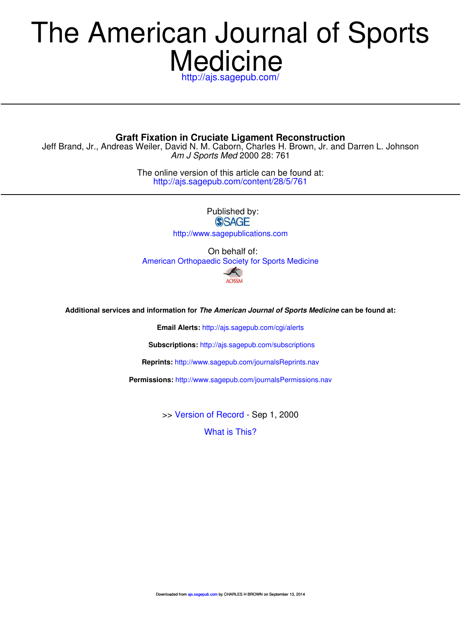# **Medicine** The American Journal of Sports

http://ajs.sagepub.com/

**Graft Fixation in Cruciate Ligament Reconstruction**

Am J Sports Med 2000 28: 761 Jeff Brand, Jr., Andreas Weiler, David N. M. Caborn, Charles H. Brown, Jr. and Darren L. Johnson

> http://ajs.sagepub.com/content/28/5/761 The online version of this article can be found at:

> > Published by:<br>
> > SAGE http://www.sagepublications.com

On behalf of: American Orthopaedic Society for Sports Medicine A

AOSSM

**Additional services and information for The American Journal of Sports Medicine can be found at:**

**Email Alerts:** http://ajs.sagepub.com/cgi/alerts

**Subscriptions:** http://ajs.sagepub.com/subscriptions

**Reprints:** http://www.sagepub.com/journalsReprints.nav

**Permissions:** http://www.sagepub.com/journalsPermissions.nav

>> Version of Record - Sep 1, 2000

What is This?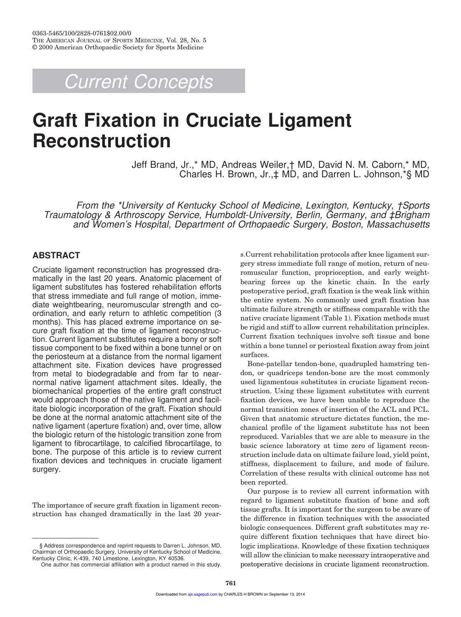Current Concepts

# **Graft Fixation in Cruciate Ligament Reconstruction**

Jeff Brand, Jr.,\* MD, Andreas Weiler,† MD, David N. M. Caborn,\* MD, Charles H. Brown, Jr.,‡ MD, and Darren L. Johnson,\*§ MD

From the \*University of Kentucky School of Medicine, Lexington, Kentucky, †Sports Traumatology & Arthroscopy Service, Humboldt-University, Berlin, Germany, and ‡Brigham and Women's Hospital, Department of Orthopaedic Surgery, Boston, Massachusetts

# **ABSTRACT**

Cruciate ligament reconstruction has progressed dramatically in the last 20 years. Anatomic placement of ligament substitutes has fostered rehabilitation efforts that stress immediate and full range of motion, immediate weightbearing, neuromuscular strength and coordination, and early return to athletic competition (3 months). This has placed extreme importance on secure graft fixation at the time of ligament reconstruction. Current ligament substitutes require a bony or soft tissue component to be fixed within a bone tunnel or on the periosteum at a distance from the normal ligament attachment site. Fixation devices have progressed from metal to biodegradable and from far to nearnormal native ligament attachment sites. Ideally, the biomechanical properties of the entire graft construct would approach those of the native ligament and facilitate biologic incorporation of the graft. Fixation should be done at the normal anatomic attachment site of the native ligament (aperture fixation) and, over time, allow the biologic return of the histologic transition zone from ligament to fibrocartilage, to calcified fibrocartilage, to bone. The purpose of this article is to review current fixation devices and techniques in cruciate ligament surgery.

The importance of secure graft fixation in ligament reconstruction has changed dramatically in the last 20 year-

§ Address correspondence and reprint requests to Darren L. Johnson, MD, Chairman of Orthopaedic Surgery, University of Kentucky School of Medicine, Kentucky Clinic, K-439, 740 Limestone, Lexington, KY 40536.

s.Current rehabilitation protocols after knee ligament surgery stress immediate full range of motion, return of neuromuscular function, proprioception, and early weightbearing forces up the kinetic chain. In the early postoperative period, graft fixation is the weak link within the entire system. No commonly used graft fixation has ultimate failure strength or stiffness comparable with the native cruciate ligament (Table 1). Fixation methods must be rigid and stiff to allow current rehabilitation principles. Current fixation techniques involve soft tissue and bone within a bone tunnel or periosteal fixation away from joint surfaces.

Bone-patellar tendon-bone, quadrupled hamstring tendon, or quadriceps tendon-bone are the most commonly used ligamentous substitutes in cruciate ligament reconstruction. Using these ligament substitutes with current fixation devices, we have been unable to reproduce the normal transition zones of insertion of the ACL and PCL. Given that anatomic structure dictates function, the mechanical profile of the ligament substitute has not been reproduced. Variables that we are able to measure in the basic science laboratory at time zero of ligament reconstruction include data on ultimate failure load, yield point, stiffness, displacement to failure, and mode of failure. Correlation of these results with clinical outcome has not been reported.

Our purpose is to review all current information with regard to ligament substitute fixation of bone and soft tissue grafts. It is important for the surgeon to be aware of the difference in fixation techniques with the associated biologic consequences. Different graft substitutes may require different fixation techniques that have direct biologic implications. Knowledge of these fixation techniques will allow the clinician to make necessary intraoperative and postoperative decisions in cruciate ligament reconstruction.

One author has commercial affiliation with a product named in this study.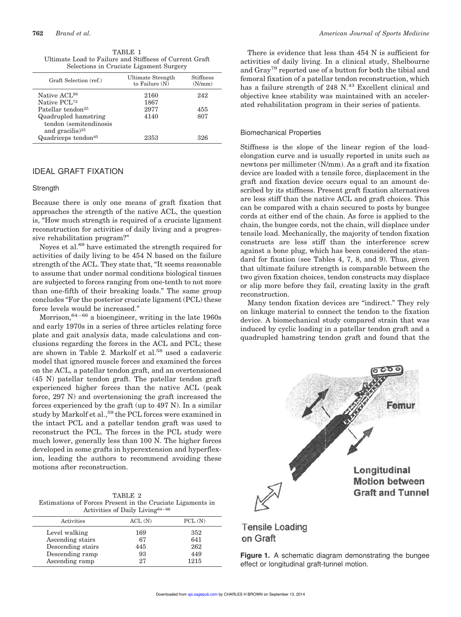TABLE 1 Ultimate Load to Failure and Stiffness of Current Graft Selections in Cruciate Ligament Surgery

| Graft Selection (ref.)          | Ultimate Strength<br>to Failure $(N)$ | Stiffness<br>(N/mm) |
|---------------------------------|---------------------------------------|---------------------|
| Native ACL <sup>98</sup>        | 2160                                  | 242                 |
| Native PCL <sup>72</sup>        | 1867                                  |                     |
| Patellar tendon <sup>25</sup>   | 2977                                  | 455                 |
| Quadrupled hamstring            | 4140                                  | 807                 |
| tendon (semitendinosis          |                                       |                     |
| and gracilis) $35$              |                                       |                     |
| Quadriceps tendon <sup>85</sup> | 2353                                  | 326                 |
|                                 |                                       |                     |

# IDEAL GRAFT FIXATION

#### **Strength**

Because there is only one means of graft fixation that approaches the strength of the native ACL, the question is, "How much strength is required of a cruciate ligament reconstruction for activities of daily living and a progressive rehabilitation program?"

Noyes et al.<sup>69</sup> have estimated the strength required for activities of daily living to be 454 N based on the failure strength of the ACL. They state that, "It seems reasonable to assume that under normal conditions biological tissues are subjected to forces ranging from one-tenth to not more than one-fifth of their breaking loads." The same group concludes "For the posterior cruciate ligament (PCL) these force levels would be increased."

Morrison,  $64-66$  a bioengineer, writing in the late 1960s and early 1970s in a series of three articles relating force plate and gait analysis data, made calculations and conclusions regarding the forces in the ACL and PCL; these are shown in Table 2. Markolf et al.<sup>58</sup> used a cadaveric model that ignored muscle forces and examined the forces on the ACL, a patellar tendon graft, and an overtensioned (45 N) patellar tendon graft. The patellar tendon graft experienced higher forces than the native ACL (peak force, 297 N) and overtensioning the graft increased the forces experienced by the graft (up to 497 N). In a similar study by Markolf et al.,<sup>59</sup> the PCL forces were examined in the intact PCL and a patellar tendon graft was used to reconstruct the PCL. The forces in the PCL study were much lower, generally less than 100 N. The higher forces developed in some grafts in hyperextension and hyperflexion, leading the authors to recommend avoiding these motions after reconstruction.

| TABLE 2                                                    |
|------------------------------------------------------------|
| Estimations of Forces Present in the Cruciate Ligaments in |
| Activities of Daily Living <sup>64-66</sup>                |

|     | PCL(N) |  |
|-----|--------|--|
| 169 | 352    |  |
| 67  | 641    |  |
| 445 | 262    |  |
| 93  | 449    |  |
| 27  | 1215   |  |
|     | ACL(N) |  |

There is evidence that less than 454 N is sufficient for activities of daily living. In a clinical study, Shelbourne and Gray<sup>79</sup> reported use of a button for both the tibial and femoral fixation of a patellar tendon reconstruction, which has a failure strength of 248 N.<sup>43</sup> Excellent clinical and objective knee stability was maintained with an accelerated rehabilitation program in their series of patients.

#### Biomechanical Properties

Stiffness is the slope of the linear region of the loadelongation curve and is usually reported in units such as newtons per millimeter (N/mm). As a graft and its fixation device are loaded with a tensile force, displacement in the graft and fixation device occurs equal to an amount described by its stiffness. Present graft fixation alternatives are less stiff than the native ACL and graft choices. This can be compared with a chain secured to posts by bungee cords at either end of the chain. As force is applied to the chain, the bungee cords, not the chain, will displace under tensile load. Mechanically, the majority of tendon fixation constructs are less stiff than the interference screw against a bone plug, which has been considered the standard for fixation (see Tables 4, 7, 8, and 9). Thus, given that ultimate failure strength is comparable between the two given fixation choices, tendon constructs may displace or slip more before they fail, creating laxity in the graft reconstruction.

Many tendon fixation devices are "indirect." They rely on linkage material to connect the tendon to the fixation device. A biomechanical study compared strain that was induced by cyclic loading in a patellar tendon graft and a quadrupled hamstring tendon graft and found that the



**Tensile Loading** on Graft

**Figure 1.** A schematic diagram demonstrating the bungee effect or longitudinal graft-tunnel motion.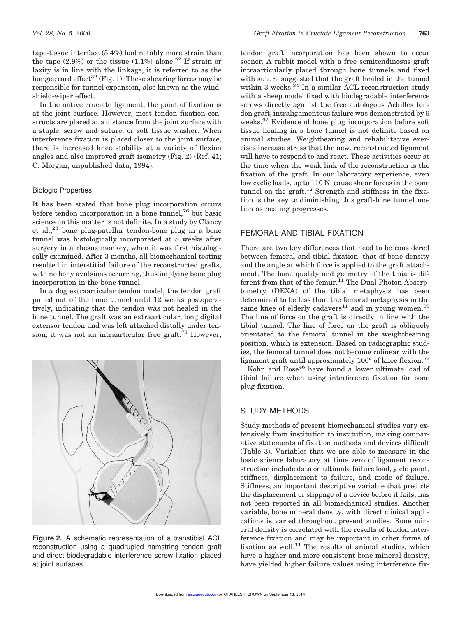tape-tissue interface (5.4%) had notably more strain than the tape  $(2.9\%)$  or the tissue  $(1.1\%)$  alone.<sup>52</sup> If strain or laxity is in line with the linkage, it is referred to as the bungee cord effect<sup>32</sup> (Fig. 1). These shearing forces may be responsible for tunnel expansion, also known as the windshield-wiper effect.

In the native cruciate ligament, the point of fixation is at the joint surface. However, most tendon fixation constructs are placed at a distance from the joint surface with a staple, screw and suture, or soft tissue washer. When interference fixation is placed closer to the joint surface, there is increased knee stability at a variety of flexion angles and also improved graft isometry (Fig. 2) (Ref. 41; C. Morgan, unpublished data, 1994).

#### Biologic Properties

It has been stated that bone plug incorporation occurs before tendon incorporation in a bone tunnel,<sup>76</sup> but basic science on this matter is not definite. In a study by Clancy et al.,<sup>23</sup> bone plug-patellar tendon-bone plug in a bone tunnel was histologically incorporated at 8 weeks after surgery in a rhesus monkey, when it was first histologically examined. After 3 months, all biomechanical testing resulted in interstitial failure of the reconstructed grafts, with no bony avulsions occurring, thus implying bone plug incorporation in the bone tunnel.

In a dog extraarticular tendon model, the tendon graft pulled out of the bone tunnel until 12 weeks postoperatively, indicating that the tendon was not healed in the bone tunnel. The graft was an extraarticular, long digital extensor tendon and was left attached distally under tension; it was not an intraarticular free graft.<sup>73</sup> However,



**Figure 2.** A schematic representation of a transtibial ACL reconstruction using a quadrupled hamstring tendon graft and direct biodegradable interference screw fixation placed at joint surfaces.

tendon graft incorporation has been shown to occur sooner. A rabbit model with a free semitendinosus graft intraarticularly placed through bone tunnels and fixed with suture suggested that the graft healed in the tunnel within 3 weeks. $34$  In a similar ACL reconstruction study with a sheep model fixed with biodegradable interference screws directly against the free autologous Achilles tendon graft, intraligamentous failure was demonstrated by 6 weeks.<sup>92</sup> Evidence of bone plug incorporation before soft tissue healing in a bone tunnel is not definite based on animal studies. Weightbearing and rehabilitative exercises increase stress that the new, reconstructed ligament will have to respond to and react. These activities occur at the time when the weak link of the reconstruction is the fixation of the graft. In our laboratory experience, even low cyclic loads, up to 110 N, cause shear forces in the bone tunnel on the graft.<sup>12</sup> Strength and stiffness in the fixation is the key to diminishing this graft-bone tunnel motion as healing progresses.

# FEMORAL AND TIBIAL FIXATION

There are two key differences that need to be considered between femoral and tibial fixation, that of bone density and the angle at which force is applied to the graft attachment. The bone quality and geometry of the tibia is different from that of the femur.<sup>11</sup> The Dual Photon Absorptometry (DEXA) of the tibial metaphysis has been determined to be less than the femoral metaphysis in the same knee of elderly cadavers<sup>11</sup> and in young women.<sup>89</sup> The line of force on the graft is directly in line with the tibial tunnel. The line of force on the graft is obliquely orientated to the femoral tunnel in the weightbearing position, which is extension. Based on radiographic studies, the femoral tunnel does not become colinear with the ligament graft until approximately 100° of knee flexion.<sup>57</sup>

Kohn and Rose<sup>46</sup> have found a lower ultimate load of tibial failure when using interference fixation for bone plug fixation.

# STUDY METHODS

Study methods of present biomechanical studies vary extensively from institution to institution, making comparative statements of fixation methods and devices difficult (Table 3). Variables that we are able to measure in the basic science laboratory at time zero of ligament reconstruction include data on ultimate failure load, yield point, stiffness, displacement to failure, and mode of failure. Stiffness, an important descriptive variable that predicts the displacement or slippage of a device before it fails, has not been reported in all biomechanical studies. Another variable, bone mineral density, with direct clinical applications is varied throughout present studies. Bone mineral density is correlated with the results of tendon interference fixation and may be important in other forms of fixation as well.<sup>11</sup> The results of animal studies, which have a higher and more consistent bone mineral density, have yielded higher failure values using interference fix-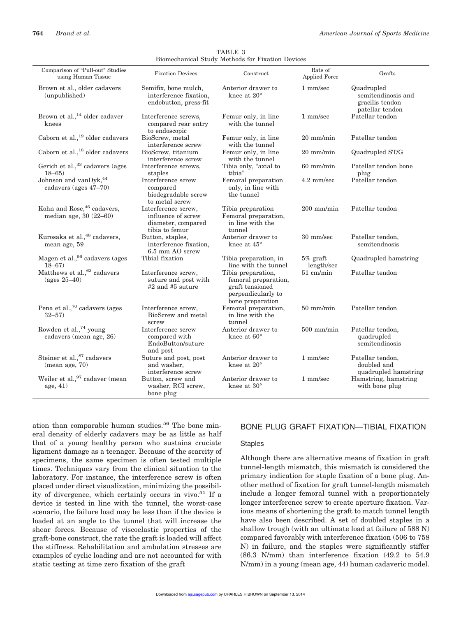| Diomechanical Duddy Methods for Fixation Devices                 |                                                                                   |                                                                                                         |                                 |                                                                        |
|------------------------------------------------------------------|-----------------------------------------------------------------------------------|---------------------------------------------------------------------------------------------------------|---------------------------------|------------------------------------------------------------------------|
| Comparison of "Pull-out" Studies<br>using Human Tissue           | <b>Fixation Devices</b>                                                           | Construct                                                                                               | Rate of<br><b>Applied Force</b> | Grafts                                                                 |
| Brown et al., older cadavers<br>(unpublished)                    | Semifix, bone mulch,<br>interference fixation,<br>endobutton, press-fit           | Anterior drawer to<br>knee at 20°                                                                       | 1 mm/sec                        | Quadrupled<br>semitendinosis and<br>gracilis tendon<br>patellar tendon |
| Brown et al., <sup>14</sup> older cadaver<br>knees               | Interference screws,<br>compared rear entry<br>to endoscopic                      | Femur only, in line<br>with the tunnel                                                                  | 1 mm/sec                        | Patellar tendon                                                        |
| Caborn et al., <sup>19</sup> older cadavers                      | BioScrew, metal<br>interference screw                                             | Femur only, in line<br>with the tunnel                                                                  | $20 \text{ mm/min}$             | Patellar tendon                                                        |
| Caborn et al., <sup>18</sup> older cadavers                      | BioScrew, titanium<br>interference screw                                          | Femur only, in line<br>with the tunnel                                                                  | $20 \text{ mm/min}$             | Quadrupled ST/G                                                        |
| Gerich et al., 33 cadavers (ages<br>$18 - 65$                    | Interference screws,<br>staples                                                   | Tibia only, "axial to<br>tibia"                                                                         | $60$ mm/min                     | Patellar tendon bone<br>plug                                           |
| Johnson and vanDyk, <sup>44</sup><br>cadavers (ages 47-70)       | Interference screw<br>compared<br>biodegradable screw<br>to metal screw           | Femoral preparation<br>only, in line with<br>the tunnel                                                 | $4.2$ mm/sec                    | Patellar tendon                                                        |
| Kohn and Rose, <sup>46</sup> cadavers,<br>median age, 30 (22-60) | Interference screw,<br>influence of screw<br>diameter, compared<br>tibia to femur | Tibia preparation<br>Femoral preparation,<br>in line with the<br>tunnel                                 | $200$ mm/min                    | Patellar tendon                                                        |
| Kurosaka et al., <sup>48</sup> cadavers,<br>mean age, 59         | Button, staples,<br>interference fixation,<br>6.5 mm AO screw                     | Anterior drawer to<br>knee at 45°                                                                       | 30 mm/sec                       | Patellar tendon,<br>semitendnosis                                      |
| Magen et al., <sup>56</sup> cadavers (ages<br>$18 - 67$          | Tibial fixation                                                                   | Tibia preparation, in<br>line with the tunnel                                                           | $5\%$ graft<br>length/sec       | Quadrupled hamstring                                                   |
| Matthews et al., 62 cadavers<br>$(\text{ages } 25 - 40)$         | Interference screw,<br>suture and post with<br>$#2$ and $#5$ suture               | Tibia preparation,<br>femoral preparation,<br>graft tensioned<br>perpendicularly to<br>bone preparation | $51 \text{ cm/min}$             | Patellar tendon                                                        |
| Pena et al., <sup>70</sup> cadavers (ages<br>$32 - 57$           | Interference screw,<br>BioScrew and metal<br>screw                                | Femoral preparation,<br>in line with the<br>tunnel                                                      | $50 \text{ mm/min}$             | Patellar tendon                                                        |
| Rowden et al., <sup>74</sup> young<br>cadavers (mean age, 26)    | Interference screw<br>compared with<br>EndoButton/suture<br>and post              | Anterior drawer to<br>knee at 60°                                                                       | $500$ mm/min                    | Patellar tendon,<br>quadrupled<br>semitendinosis                       |
| Steiner et al., $^{87}$ cadavers<br>(mean age, 70)               | Suture and post, post<br>and washer,<br>interference screw                        | Anterior drawer to<br>knee at 20°                                                                       | 1 mm/sec                        | Patellar tendon,<br>doubled and<br>quadrupled hamstring                |
| Weiler et al., 97 cadaver (mean<br>age, $41$                     | Button, screw and<br>washer, RCI screw,<br>bone plug                              | Anterior drawer to<br>knee at $30^\circ$                                                                | 1 mm/sec                        | Hamstring, hamstring<br>with bone plug                                 |

TABLE 3 Biomechanical Study Methods for Fixation Devices

ation than comparable human studies.<sup>56</sup> The bone mineral density of elderly cadavers may be as little as half that of a young healthy person who sustains cruciate ligament damage as a teenager. Because of the scarcity of specimens, the same specimen is often tested multiple times. Techniques vary from the clinical situation to the laboratory. For instance, the interference screw is often placed under direct visualization, minimizing the possibility of divergence, which certainly occurs in vivo.<sup>51</sup> If a device is tested in line with the tunnel, the worst-case scenario, the failure load may be less than if the device is loaded at an angle to the tunnel that will increase the shear forces. Because of viscoelastic properties of the graft-bone construct, the rate the graft is loaded will affect the stiffness. Rehabilitation and ambulation stresses are examples of cyclic loading and are not accounted for with static testing at time zero fixation of the graft

# BONE PLUG GRAFT FIXATION—TIBIAL FIXATION

#### Staples

Although there are alternative means of fixation in graft tunnel-length mismatch, this mismatch is considered the primary indication for staple fixation of a bone plug. Another method of fixation for graft tunnel-length mismatch include a longer femoral tunnel with a proportionately longer interference screw to create aperture fixation. Various means of shortening the graft to match tunnel length have also been described. A set of doubled staples in a shallow trough (with an ultimate load at failure of 588 N) compared favorably with interference fixation (506 to 758 N) in failure, and the staples were significantly stiffer (86.3 N/mm) than interference fixation (49.2 to 54.9 N/mm) in a young (mean age, 44) human cadaveric model.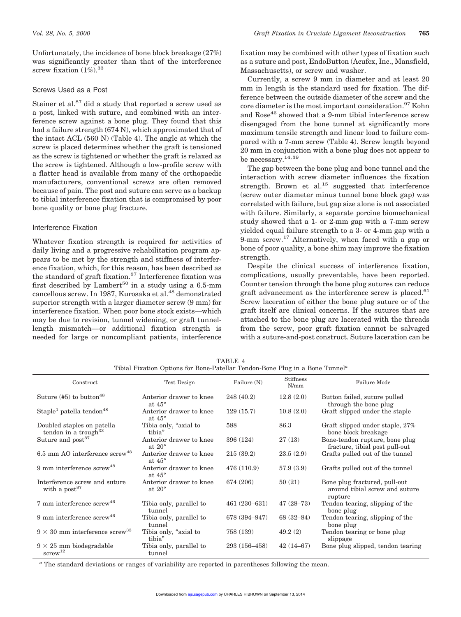Unfortunately, the incidence of bone block breakage (27%) was significantly greater than that of the interference screw fixation  $(1\%)$ <sup>33</sup>

#### Screws Used as a Post

Steiner et al.<sup>87</sup> did a study that reported a screw used as a post, linked with suture, and combined with an interference screw against a bone plug. They found that this had a failure strength (674 N), which approximated that of the intact ACL (560 N) (Table 4). The angle at which the screw is placed determines whether the graft is tensioned as the screw is tightened or whether the graft is relaxed as the screw is tightened. Although a low-profile screw with a flatter head is available from many of the orthopaedic manufacturers, conventional screws are often removed because of pain. The post and suture can serve as a backup to tibial interference fixation that is compromised by poor bone quality or bone plug fracture.

#### Interference Fixation

Whatever fixation strength is required for activities of daily living and a progressive rehabilitation program appears to be met by the strength and stiffness of interference fixation, which, for this reason, has been described as the standard of graft fixation.<sup>87</sup> Interference fixation was first described by Lambert<sup>50</sup> in a study using a 6.5-mm cancellous screw. In 1987, Kurosaka et al.<sup>48</sup> demonstrated superior strength with a larger diameter screw (9 mm) for interference fixation. When poor bone stock exists—which may be due to revision, tunnel widening, or graft tunnellength mismatch—or additional fixation strength is needed for large or noncompliant patients, interference fixation may be combined with other types of fixation such as a suture and post, EndoButton (Acufex, Inc., Mansfield, Massachusetts), or screw and washer.

Currently, a screw 9 mm in diameter and at least 20 mm in length is the standard used for fixation. The difference between the outside diameter of the screw and the core diameter is the most important consideration.<sup>97</sup> Kohn and Rose<sup>46</sup> showed that a 9-mm tibial interference screw disengaged from the bone tunnel at significantly more maximum tensile strength and linear load to failure compared with a 7-mm screw (Table 4). Screw length beyond 20 mm in conjunction with a bone plug does not appear to be necessary.<sup>14,39</sup>

The gap between the bone plug and bone tunnel and the interaction with screw diameter influences the fixation strength. Brown et al.<sup>15</sup> suggested that interference (screw outer diameter minus tunnel bone block gap) was correlated with failure, but gap size alone is not associated with failure. Similarly, a separate porcine biomechanical study showed that a 1- or 2-mm gap with a 7-mm screw yielded equal failure strength to a 3- or 4-mm gap with a 9-mm screw.<sup>17</sup> Alternatively, when faced with a gap or bone of poor quality, a bone shim may improve the fixation strength.

Despite the clinical success of interference fixation, complications, usually preventable, have been reported. Counter tension through the bone plug sutures can reduce graft advancement as the interference screw is placed. $61$ Screw laceration of either the bone plug suture or of the graft itself are clinical concerns. If the sutures that are attached to the bone plug are lacerated with the threads from the screw, poor graft fixation cannot be salvaged with a suture-and-post construct. Suture laceration can be

| Thomal Pixation Options for Done-Patenal Tendon-Done Plug in a Done Tunnel |                                            |               |                   |                                                                            |  |  |
|----------------------------------------------------------------------------|--------------------------------------------|---------------|-------------------|----------------------------------------------------------------------------|--|--|
| Construct                                                                  | Test Design                                | Failure (N)   | Stiffness<br>N/mm | Failure Mode                                                               |  |  |
| Suture $(#5)$ to button <sup>48</sup>                                      | Anterior drawer to knee<br>at $45^\circ$   | 248 (40.2)    | 12.8(2.0)         | Button failed, suture pulled<br>through the bone plug                      |  |  |
| Staple <sup>1</sup> patella tendon <sup>48</sup>                           | Anterior drawer to knee<br>at $45^{\circ}$ | 129(15.7)     | 10.8(2.0)         | Graft slipped under the staple                                             |  |  |
| Doubled staples on patella<br>tendon in a trough $33$                      | Tibia only, "axial to<br>tibia"            | 588           | 86.3              | Graft slipped under staple, 27%<br>bone block breakage                     |  |  |
| Suture and post <sup>87</sup>                                              | Anterior drawer to knee<br>at $20^{\circ}$ | 396 (124)     | 27(13)            | Bone-tendon rupture, bone plug<br>fracture, tibial post pull-out           |  |  |
| $6.5$ mm AO interference screw <sup>48</sup>                               | Anterior drawer to knee<br>at $45^{\circ}$ | 215(39.2)     | 23.5(2.9)         | Grafts pulled out of the tunnel                                            |  |  |
| 9 mm interference $s$ crew <sup>48</sup>                                   | Anterior drawer to knee<br>at $45^{\circ}$ | 476 (110.9)   | 57.9(3.9)         | Grafts pulled out of the tunnel                                            |  |  |
| Interference screw and suture<br>with a $post87$                           | Anterior drawer to knee<br>at $20^{\circ}$ | 674 (206)     | 50(21)            | Bone plug fractured, pull-out<br>around tibial screw and suture<br>rupture |  |  |
| 7 mm interference screw <sup>46</sup>                                      | Tibia only, parallel to<br>tunnel          | 461 (230-631) | $47(28 - 73)$     | Tendon tearing, slipping of the<br>bone plug                               |  |  |
| 9 mm interference $s$ crew <sup>46</sup>                                   | Tibia only, parallel to<br>tunnel          | 678 (394-947) | $68(32 - 84)$     | Tendon tearing, slipping of the<br>bone plug                               |  |  |
| $9 \times 30$ mm interference screw <sup>33</sup>                          | Tibia only, "axial to<br>tibia"            | 758 (139)     | 49.2(2)           | Tendon tearing or bone plug<br>slippage                                    |  |  |
| $9 \times 25$ mm biodegradable<br>$s$ crew <sup>12</sup>                   | Tibia only, parallel to<br>tunnel          | 293 (156-458) | $42(14 - 67)$     | Bone plug slipped, tendon tearing                                          |  |  |

TABLE 4 Tibial Fixation Options for Bone-Patellar Tendon-Bone Plug in a Bone Tunnel*<sup>a</sup>*

*<sup>a</sup>* The standard deviations or ranges of variability are reported in parentheses following the mean.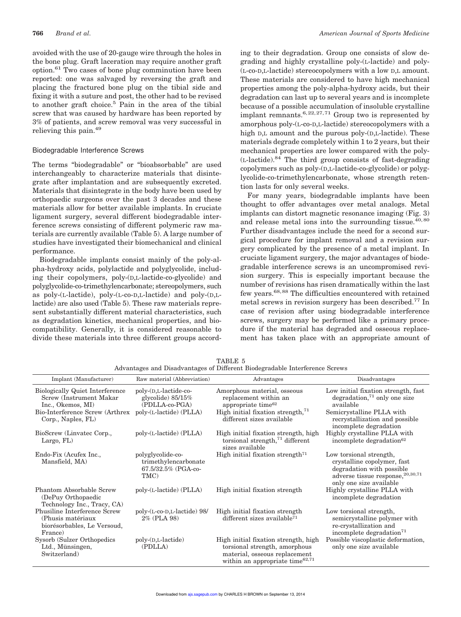avoided with the use of 20-gauge wire through the holes in the bone plug. Graft laceration may require another graft option.<sup>61</sup> Two cases of bone plug comminution have been reported: one was salvaged by reversing the graft and placing the fractured bone plug on the tibial side and fixing it with a suture and post, the other had to be revised to another graft choice.<sup>5</sup> Pain in the area of the tibial screw that was caused by hardware has been reported by 3% of patients, and screw removal was very successful in relieving this pain.<sup>49</sup>

#### Biodegradable Interference Screws

The terms "biodegradable" or "bioabsorbable" are used interchangeably to characterize materials that disintegrate after implantation and are subsequently excreted. Materials that disintegrate in the body have been used by orthopaedic surgeons over the past 3 decades and these materials allow for better available implants. In cruciate ligament surgery, several different biodegradable interference screws consisting of different polymeric raw materials are currently available (Table 5). A large number of studies have investigated their biomechanical and clinical performance.

Biodegradable implants consist mainly of the poly-alpha-hydroxy acids, polylactide and polyglycolide, including their copolymers, poly-(D,L-lactide-co-glycolide) and polyglycolide-co-trimethylencarbonate; stereopolymers, such as poly-(L-lactide), poly-(L-co-D,L-lactide) and poly-(D,Llactide) are also used (Table 5). These raw materials represent substantially different material characteristics, such as degradation kinetics, mechanical properties, and biocompatibility. Generally, it is considered reasonable to divide these materials into three different groups according to their degradation. Group one consists of slow degrading and highly crystalline poly-(L-lactide) and poly- (L-co-D,L-lactide) stereocopolymers with a low D,L amount. These materials are considered to have high mechanical properties among the poly-alpha-hydroxy acids, but their degradation can last up to several years and is incomplete because of a possible accumulation of insoluble crystalline implant remnants.<sup>6,22,27,71</sup> Group two is represented by amorphous poly-(L-co-D,L-lactide) stereocopolymers with a high D,L amount and the purous poly-(D,L-lactide). These materials degrade completely within 1 to 2 years, but their mechanical properties are lower compared with the poly- (L-lactide).<sup>84</sup> The third group consists of fast-degrading copolymers such as poly-(D,L-lactide-co-glycolide) or polyglycolide-co-trimethylencarbonate, whose strength retention lasts for only several weeks.

For many years, biodegradable implants have been thought to offer advantages over metal analogs. Metal implants can distort magnetic resonance imaging (Fig. 3) and release metal ions into the surrounding tissue. $40,80$ Further disadvantages include the need for a second surgical procedure for implant removal and a revision surgery complicated by the presence of a metal implant. In cruciate ligament surgery, the major advantages of biodegradable interference screws is an uncompromised revision surgery. This is especially important because the number of revisions has risen dramatically within the last few years.<sup>68,88</sup> The difficulties encountered with retained metal screws in revision surgery has been described.<sup>77</sup> In case of revision after using biodegradable interference screws, surgery may be performed like a primary procedure if the material has degraded and osseous replacement has taken place with an appropriate amount of

| Implant (Manufacturer)                                                                      | Raw material (Abbreviation)                                              | Advantages                                                                                                                                   | Disadvantages                                                                                                                                       |
|---------------------------------------------------------------------------------------------|--------------------------------------------------------------------------|----------------------------------------------------------------------------------------------------------------------------------------------|-----------------------------------------------------------------------------------------------------------------------------------------------------|
| <b>Biologically Quiet Interference</b><br>Screw (Instrument Makar<br>Inc., Okemos, MI)      | poly-(D,L-lactide-co-<br>glycolide) $85/15\%$<br>(PDLLA-co-PGA)          | Amorphous material, osseous<br>replacement within an<br>appropriate time <sup>62</sup>                                                       | Low initial fixation strength, fast<br>$degradation, '1$ only one size<br>available                                                                 |
| Bio-Interference Screw (Arthrex<br>Corp., Naples, FL)                                       | poly-(L-lactide) (PLLA)                                                  | High initial fixation strength, $71$<br>different sizes available                                                                            | Semicrystalline PLLA with<br>recrystallization and possible<br>incomplete degradation                                                               |
| BioScrew (Linvatec Corp.,<br>Largo, FL)                                                     | poly-(L-lactide) (PLLA)                                                  | High initial fixation strength, high<br>torsional strength, $71$ different<br>sizes available                                                | Highly crystalline PLLA with<br>incomplete degradation <sup>62</sup>                                                                                |
| Endo-Fix (Acufex Inc.,<br>Mansfield, MA)                                                    | polyglycolide-co-<br>trimethylencarbonate<br>67.5/32.5% (PGA-co-<br>TMC) | High initial fixation strength <sup>71</sup>                                                                                                 | Low torsional strength,<br>crystalline copolymer, fast<br>degradation with possible<br>adverse tissue response, 20,30,71<br>only one size available |
| Phantom Absorbable Screw<br>(DePuy Orthopaedic<br>Technology Inc., Tracy, CA                | poly-(L-lactide) (PLLA)                                                  | High initial fixation strength                                                                                                               | Highly crystalline PLLA with<br>incomplete degradation                                                                                              |
| Phusiline Interference Screw<br>(Phusis matériaux<br>biorésorbables, Le Versoud,<br>France) | poly-(L-co-D,L-lactide) 98/<br>2% (PLA 98)                               | High initial fixation strength<br>different sizes available <sup>71</sup>                                                                    | Low torsional strength,<br>semicrystalline polymer with<br>re-crystallization and<br>incomplete degradation <sup>71</sup>                           |
| Sysorb (Sulzer Orthopedics)<br>Ltd., Münsingen,<br>Switzerland)                             | $poly(D,L-lactide)$<br>(PDLLA)                                           | High initial fixation strength, high<br>torsional strength, amorphous<br>material, osseous replacement<br>within an appropriate time $62,71$ | Possible viscoplastic deformation,<br>only one size available                                                                                       |

TABLE 5 Advantages and Disadvantages of Different Biodegradable Interference Screws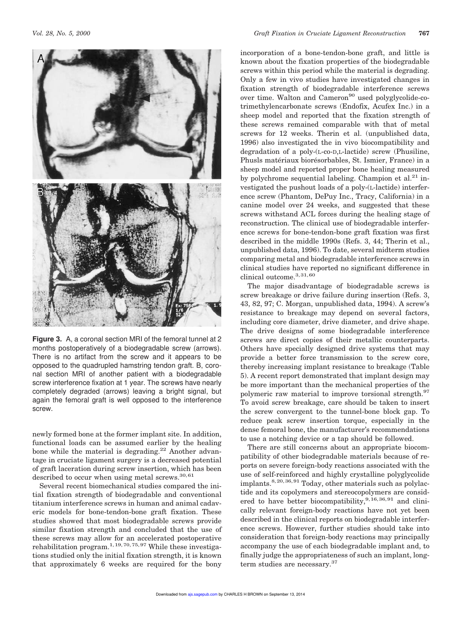

**Figure 3.** A, a coronal section MRI of the femoral tunnel at 2 months postoperatively of a biodegradable screw (arrows). There is no artifact from the screw and it appears to be opposed to the quadrupled hamstring tendon graft. B, coronal section MRI of another patient with a biodegradable screw interference fixation at 1 year. The screws have nearly completely degraded (arrows) leaving a bright signal, but again the femoral graft is well opposed to the interference screw.

newly formed bone at the former implant site. In addition, functional loads can be assumed earlier by the healing bone while the material is degrading.<sup>22</sup> Another advantage in cruciate ligament surgery is a decreased potential of graft laceration during screw insertion, which has been described to occur when using metal screws.<sup>30,61</sup>

Several recent biomechanical studies compared the initial fixation strength of biodegradable and conventional titanium interference screws in human and animal cadaveric models for bone-tendon-bone graft fixation. These studies showed that most biodegradable screws provide similar fixation strength and concluded that the use of these screws may allow for an accelerated postoperative rehabilitation program.<sup>1, 19, 70, 75, 97</sup> While these investigations studied only the initial fixation strength, it is known that approximately 6 weeks are required for the bony

incorporation of a bone-tendon-bone graft, and little is known about the fixation properties of the biodegradable screws within this period while the material is degrading. Only a few in vivo studies have investigated changes in fixation strength of biodegradable interference screws over time. Walton and Cameron<sup>90</sup> used polyglycolide-cotrimethylencarbonate screws (Endofix, Acufex Inc.) in a sheep model and reported that the fixation strength of these screws remained comparable with that of metal screws for 12 weeks. Therin et al. (unpublished data, 1996) also investigated the in vivo biocompatibility and degradation of a poly-(L-co-D,L-lactide) screw (Phusiline, Phusls matériaux biorésorbables, St. Ismier, France) in a sheep model and reported proper bone healing measured by polychrome sequential labeling. Champion et al.<sup>21</sup> investigated the pushout loads of a poly-(L-lactide) interference screw (Phantom, DePuy Inc., Tracy, California) in a canine model over 24 weeks, and suggested that these screws withstand ACL forces during the healing stage of reconstruction. The clinical use of biodegradable interference screws for bone-tendon-bone graft fixation was first described in the middle 1990s (Refs. 3, 44; Therin et al., unpublished data, 1996). To date, several midterm studies comparing metal and biodegradable interference screws in clinical studies have reported no significant difference in clinical outcome. $^{3,31,60}$ 

The major disadvantage of biodegradable screws is screw breakage or drive failure during insertion (Refs. 3, 43, 82, 97; C. Morgan, unpublished data, 1994). A screw's resistance to breakage may depend on several factors, including core diameter, drive diameter, and drive shape. The drive designs of some biodegradable interference screws are direct copies of their metallic counterparts. Others have specially designed drive systems that may provide a better force transmission to the screw core, thereby increasing implant resistance to breakage (Table 5). A recent report demonstrated that implant design may be more important than the mechanical properties of the polymeric raw material to improve torsional strength.<sup>97</sup> To avoid screw breakage, care should be taken to insert the screw convergent to the tunnel-bone block gap. To reduce peak screw insertion torque, especially in the dense femoral bone, the manufacturer's recommendations to use a notching device or a tap should be followed.

There are still concerns about an appropriate biocompatibility of other biodegradable materials because of reports on severe foreign-body reactions associated with the use of self-reinforced and highly crystalline polyglycolide implants.8,20,36,91 Today, other materials such as polylactide and its copolymers and stereocopolymers are considered to have better biocompatibility,<sup>9,16,36,91</sup> and clinically relevant foreign-body reactions have not yet been described in the clinical reports on biodegradable interference screws. However, further studies should take into consideration that foreign-body reactions may principally accompany the use of each biodegradable implant and, to finally judge the appropriateness of such an implant, longterm studies are necessary.<sup>37</sup>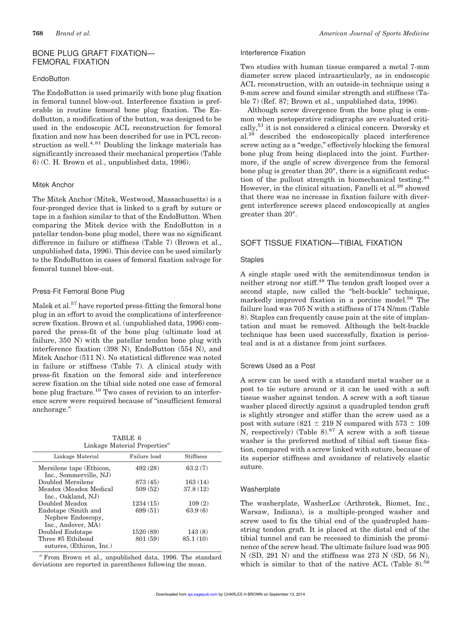# BONE PLUG GRAFT FIXATION— FEMORAL FIXATION

# **EndoButton**

The EndoButton is used primarily with bone plug fixation in femoral tunnel blow-out. Interference fixation is preferable in routine femoral bone plug fixation. The EndoButton, a modification of the button, was designed to be used in the endoscopic ACL reconstruction for femoral fixation and now has been described for use in PCL reconstruction as well. $4,81$  Doubling the linkage materials has significantly increased their mechanical properties (Table 6) (C. H. Brown et al., unpublished data, 1996).

# Mitek Anchor

The Mitek Anchor (Mitek, Westwood, Massachusetts) is a four-pronged device that is linked to a graft by suture or tape in a fashion similar to that of the EndoButton. When comparing the Mitek device with the EndoButton in a patellar tendon-bone plug model, there was no significant difference in failure or stiffness (Table 7) (Brown et al., unpublished data, 1996). This device can be used similarly to the EndoButton in cases of femoral fixation salvage for femoral tunnel blow-out.

# Press-Fit Femoral Bone Plug

Malek et al.<sup>57</sup> have reported press-fitting the femoral bone plug in an effort to avoid the complications of interference screw fixation. Brown et al. (unpublished data, 1996) compared the press-fit of the bone plug (ultimate load at failure, 350 N) with the patellar tendon bone plug with interference fixation (398 N), EndoButton (554 N), and Mitek Anchor (511 N). No statistical difference was noted in failure or stiffness (Table 7). A clinical study with press-fit fixation on the femoral side and interference screw fixation on the tibial side noted one case of femoral bone plug fracture.<sup>10</sup> Two cases of revision to an interference screw were required because of "insufficient femoral anchorage."

TABLE 6 Linkage Material Properties*<sup>a</sup>*

| Failure load | <b>Stiffness</b> |
|--------------|------------------|
| 492 (28)     | 63.2(7)          |
| 873 (45)     | 163(14)          |
| 509(52)      | 37.8(12)         |
|              |                  |
| 1234(15)     | 109(2)           |
| 699 (51)     | 63.9(6)          |
|              |                  |
|              |                  |
| 1520(89)     | 143(8)           |
| 801 (59)     | 85.1(10)         |
|              |                  |
|              |                  |

*<sup>a</sup>* From Brown et al., unpublished data, 1996. The standard deviations are reported in parentheses following the mean.

# Interference Fixation

Two studies with human tissue compared a metal 7-mm diameter screw placed intraarticularly, as in endoscopic ACL reconstruction, with an outside-in technique using a 9-mm screw and found similar strength and stiffness (Table 7) (Ref. 87; Brown et al., unpublished data, 1996).

Although screw divergence from the bone plug is common when postoperative radiographs are evaluated critically,<sup>51</sup> it is not considered a clinical concern. Dworsky et al.<sup>28</sup> described the endoscopically placed interference screw acting as a "wedge," effectively blocking the femoral bone plug from being displaced into the joint. Furthermore, if the angle of screw divergence from the femoral bone plug is greater than 20°, there is a significant reduction of the pullout strength in biomechanical testing.<sup>45</sup> However, in the clinical situation, Fanelli et al.<sup>29</sup> showed that there was no increase in fixation failure with divergent interference screws placed endoscopically at angles greater than 20°.

# SOFT TISSUE FIXATION—TIBIAL FIXATION

# Staples

A single staple used with the semitendinosus tendon is neither strong nor stiff.<sup>48</sup> The tendon graft looped over a second staple, now called the "belt-buckle" technique, markedly improved fixation in a porcine model.<sup>56</sup> The failure load was 705 N with a stiffness of 174 N/mm (Table 8). Staples can frequently cause pain at the site of implantation and must be removed. Although the belt-buckle technique has been used successfully, fixation is periosteal and is at a distance from joint surfaces.

# Screws Used as a Post

A screw can be used with a standard metal washer as a post to tie suture around or it can be used with a soft tissue washer against tendon. A screw with a soft tissue washer placed directly against a quadrupled tendon graft is slightly stronger and stiffer than the screw used as a post with suture (821  $\pm$  219 N compared with 573  $\pm$  109 N, respectively) (Table 8).<sup>87</sup> A screw with a soft tissue washer is the preferred method of tibial soft tissue fixation, compared with a screw linked with suture, because of its superior stiffness and avoidance of relatively elastic suture.

# **Washerplate**

The washerplate, WasherLoc (Arthrotek, Biomet, Inc., Warsaw, Indiana), is a multiple-pronged washer and screw used to fix the tibial end of the quadrupled hamstring tendon graft. It is placed at the distal end of the tibial tunnel and can be recessed to diminish the prominence of the screw head. The ultimate failure load was 905 N (SD, 291 N) and the stiffness was 273 N (SD, 56 N), which is similar to that of the native ACL (Table 8). $56$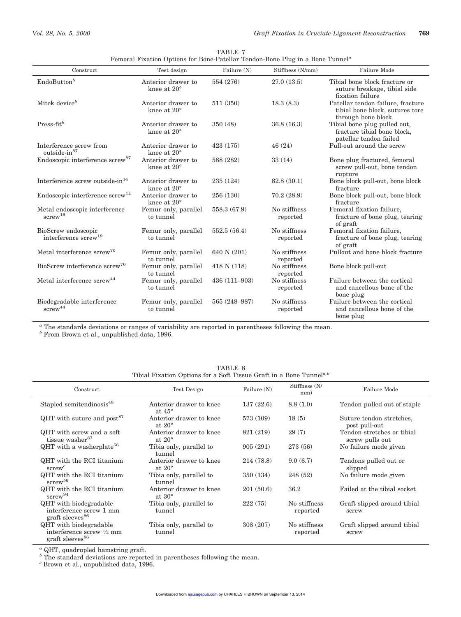j.

| Construct                                               | Test design                              | Failure (N)   | Stiffness (N/mm)         | Failure Mode                                                                               |
|---------------------------------------------------------|------------------------------------------|---------------|--------------------------|--------------------------------------------------------------------------------------------|
| EndoButton <sup>b</sup>                                 | Anterior drawer to<br>knee at 20°        | 554 (276)     | 27.0(13.5)               | Tibial bone block fracture or<br>suture breakage, tibial side<br>fixation failure          |
| Mitek device <sup>b</sup>                               | Anterior drawer to<br>knee at 20°        | 511 (350)     | 18.3(8.3)                | Patellar tendon failure, fracture<br>tibial bone block, sutures tore<br>through bone block |
| $Press-fitb$                                            | Anterior drawer to<br>knee at 20°        | 350 (48)      | 36.8(16.3)               | Tibial bone plug pulled out,<br>fracture tibial bone block,<br>patellar tendon failed      |
| Interference screw from<br>outside-in <sup>87</sup>     | Anterior drawer to<br>knee at $20^\circ$ | 423 (175)     | 46(24)                   | Pull-out around the screw                                                                  |
| Endoscopic interference screw <sup>87</sup>             | Anterior drawer to<br>knee at 20°        | 588 (282)     | 33(14)                   | Bone plug fractured, femoral<br>screw pull-out, bone tendon<br>rupture                     |
| Interference screw outside-in <sup>14</sup>             | Anterior drawer to<br>knee at $20^\circ$ | 235 (124)     | 82.8 (30.1)              | Bone block pull-out, bone block<br>fracture                                                |
| Endoscopic interference screw <sup>14</sup>             | Anterior drawer to<br>knee at $20^\circ$ | 256 (130)     | 70.2(28.9)               | Bone block pull-out, bone block<br>fracture                                                |
| Metal endoscopic interference<br>screw <sup>19</sup>    | Femur only, parallel<br>to tunnel        | 558.3 (67.9)  | No stiffness<br>reported | Femoral fixation failure,<br>fracture of bone plug, tearing<br>of graft                    |
| BioScrew endoscopic<br>interference screw <sup>19</sup> | Femur only, parallel<br>to tunnel        | 552.5(56.4)   | No stiffness<br>reported | Femoral fixation failure,<br>fracture of bone plug, tearing<br>of graft                    |
| Metal interference screw <sup>70</sup>                  | Femur only, parallel<br>to tunnel        | 640 N (201)   | No stiffness<br>reported | Pullout and bone block fracture                                                            |
| BioScrew interference screw <sup>70</sup>               | Femur only, parallel<br>to tunnel        | 418 N(118)    | No stiffness<br>reported | Bone block pull-out                                                                        |
| Metal interference screw <sup>44</sup>                  | Femur only, parallel<br>to tunnel        | 436 (111-903) | No stiffness<br>reported | Failure between the cortical<br>and cancellous bone of the<br>bone plug                    |
| Biodegradable interference<br>${\rm screw}^{44}$        | Femur only, parallel<br>to tunnel        | 565 (248-987) | No stiffness<br>reported | Failure between the cortical<br>and cancellous bone of the<br>bone plug                    |

| TABLE 7                                                                                   |  |
|-------------------------------------------------------------------------------------------|--|
| Femoral Fixation Options for Bone-Patellar Tendon-Bone Plug in a Bone Tunnel <sup>a</sup> |  |

*<sup>a</sup>* The standards deviations or ranges of variability are reported in parentheses following the mean. *<sup>b</sup>* From Brown et al., unpublished data, 1996.

| Tibial Fixation Options for a Soft Tissue Graft in a Bone Tunnel <sup>a,b</sup>              |                                            |             |                          |                                               |  |
|----------------------------------------------------------------------------------------------|--------------------------------------------|-------------|--------------------------|-----------------------------------------------|--|
| Construct                                                                                    | Test Design                                | Failure (N) | Stiffness (N/<br>mm)     | Failure Mode                                  |  |
| Stapled semitendinosis <sup>48</sup>                                                         | Anterior drawer to knee<br>at $45^\circ$   | 137(22.6)   | 8.8(1.0)                 | Tendon pulled out of staple                   |  |
| $QHT$ with suture and post <sup>87</sup>                                                     | Anterior drawer to knee<br>at $20^{\circ}$ | 573 (109)   | 18(5)                    | Suture tendon stretches,<br>post pull-out     |  |
| QHT with screw and a soft<br>tissue washer <sup>87</sup>                                     | Anterior drawer to knee<br>at $20^{\circ}$ | 821 (219)   | 29(7)                    | Tendon stretches or tibial<br>screw pulls out |  |
| QHT with a washerplate <sup>56</sup>                                                         | Tibia only, parallel to<br>tunnel          | 905(291)    | 273 (56)                 | No failure mode given                         |  |
| QHT with the RCI titanium<br>$\text{screw}^c$                                                | Anterior drawer to knee<br>at $20^{\circ}$ | 214 (78.8)  | 9.0(6.7)                 | Tendons pulled out or<br>slipped              |  |
| QHT with the RCI titanium<br>$s$ crew $^{56}$                                                | Tibia only, parallel to<br>tunnel          | 350 (134)   | 248 (52)                 | No failure mode given                         |  |
| QHT with the RCI titanium<br>$s$ crew <sup>94</sup>                                          | Anterior drawer to knee<br>at $30^{\circ}$ | 201(50.6)   | 36.2                     | Failed at the tibial socket                   |  |
| QHT with biodegradable<br>interference screw 1 mm<br>graft sleeves <sup>86</sup>             | Tibia only, parallel to<br>tunnel          | 222(75)     | No stiffness<br>reported | Graft slipped around tibial<br>screw          |  |
| QHT with biodegradable<br>interference screw $\frac{1}{2}$ mm<br>graft sleeves <sup>86</sup> | Tibia only, parallel to<br>tunnel          | 308 (207)   | No stiffness<br>reported | Graft slipped around tibial<br>screw          |  |

TABLE 8 Tibial Fixation Options for a Soft Tissue Graft in a Bone Tunnel*a,b*

*<sup>a</sup>* QHT, quadrupled hamstring graft.

<sup>*b*</sup> The standard deviations are reported in parentheses following the mean.

*<sup>c</sup>* Brown et al., unpublished data, 1996.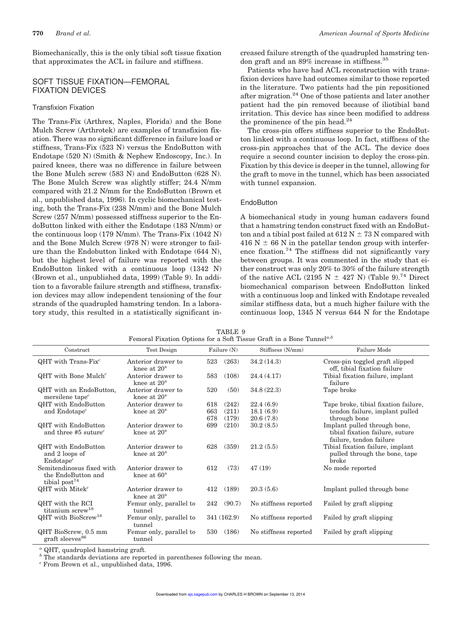Biomechanically, this is the only tibial soft tissue fixation that approximates the ACL in failure and stiffness.

# SOFT TISSUE FIXATION—FEMORAL FIXATION DEVICES

# Transfixion Fixation

The Trans-Fix (Arthrex, Naples, Florida) and the Bone Mulch Screw (Arthrotek) are examples of transfixion fixation. There was no significant difference in failure load or stiffness, Trans-Fix (523 N) versus the EndoButton with Endotape (520 N) (Smith & Nephew Endoscopy, Inc.). In paired knees, there was no difference in failure between the Bone Mulch screw (583 N) and EndoButton (628 N). The Bone Mulch Screw was slightly stiffer; 24.4 N/mm compared with 21.2 N/mm for the EndoButton (Brown et al., unpublished data, 1996). In cyclic biomechanical testing, both the Trans-Fix (238 N/mm) and the Bone Mulch Screw (257 N/mm) possessed stiffness superior to the EndoButton linked with either the Endotape (183 N/mm) or the continuous loop (179 N/mm). The Trans-Fix (1042 N) and the Bone Mulch Screw (978 N) were stronger to failure than the Endobutton linked with Endotape (644 N), but the highest level of failure was reported with the EndoButton linked with a continuous loop (1342 N) (Brown et al., unpublished data, 1999) (Table 9). In addition to a favorable failure strength and stiffness, transfixion devices may allow independent tensioning of the four strands of the quadrupled hamstring tendon. In a laboratory study, this resulted in a statistically significant increased failure strength of the quadrupled hamstring tendon graft and an 89% increase in stiffness.<sup>35</sup>

Patients who have had ACL reconstruction with transfixion devices have had outcomes similar to those reported in the literature. Two patients had the pin repositioned after migration.<sup>24</sup> One of those patients and later another patient had the pin removed because of iliotibial band irritation. This device has since been modified to address the prominence of the pin head. $24$ 

The cross-pin offers stiffness superior to the EndoButton linked with a continuous loop. In fact, stiffness of the cross-pin approaches that of the ACL. The device does require a second counter incision to deploy the cross-pin. Fixation by this device is deeper in the tunnel, allowing for the graft to move in the tunnel, which has been associated with tunnel expansion.

#### **EndoButton**

A biomechanical study in young human cadavers found that a hamstring tendon construct fixed with an EndoButton and a tibial post failed at  $612$  N  $\pm$  73 N compared with 416 N  $\pm$  66 N in the patellar tendon group with interference fixation.<sup>74</sup> The stiffness did not significantly vary between groups. It was commented in the study that either construct was only 20% to 30% of the failure strength of the native ACL (2195 N  $\pm$  427 N) (Table 9).<sup>74</sup> Direct biomechanical comparison between EndoButton linked with a continuous loop and linked with Endotape revealed similar stiffness data, but a much higher failure with the continuous loop, 1345 N versus 644 N for the Endotape

| Construct                                                             | Test Design                                |     | Failure (N) | Stiffness (N/mm)      | Failure Mode                                                                               |
|-----------------------------------------------------------------------|--------------------------------------------|-----|-------------|-----------------------|--------------------------------------------------------------------------------------------|
| QHT with Trans- $Fix^c$                                               | Anterior drawer to<br>knee at $20^{\circ}$ | 523 | (263)       | 34.2(14.3)            | Cross-pin toggled graft slipped<br>off, tibial fixation failure                            |
| $QHT$ with Bone Mulch <sup>c</sup>                                    | Anterior drawer to<br>knee at $20^\circ$   | 583 | (108)       | 24.4(4.17)            | Tibial fixation failure, implant<br>failure                                                |
| QHT with an EndoButton,<br>mersilene tape <sup><math>c</math></sup>   | Anterior drawer to<br>knee at $20^\circ$   | 520 | (50)        | 34.8(22.3)            | Tape broke                                                                                 |
| QHT with EndoButton                                                   | Anterior drawer to                         | 618 | (242)       | 22.4(6.9)             | Tape broke, tibial fixation failure,                                                       |
| and Endotape <sup>c</sup>                                             | knee at 20°                                | 663 | (211)       | 18.1(6.9)             | tendon failure, implant pulled                                                             |
|                                                                       |                                            | 678 | (179)       | 20.6(7.8)             | through bone                                                                               |
| QHT with EndoButton<br>and three #5 suture <sup>c</sup>               | Anterior drawer to<br>knee at $20^{\circ}$ | 699 | (210)       | 30.2(8.5)             | Implant pulled through bone,<br>tibial fixation failure, suture<br>failure, tendon failure |
| QHT with EndoButton<br>and 2 loops of<br>Endotape <sup>c</sup>        | Anterior drawer to<br>knee at $20^\circ$   | 628 | (359)       | 21.2(5.5)             | Tibial fixation failure, implant<br>pulled through the bone, tape<br>broke                 |
| Semitendinosus fixed with<br>the EndoButton and<br>tibial $post^{74}$ | Anterior drawer to<br>knee at $60^\circ$   | 612 | (73)        | 47(19)                | No mode reported                                                                           |
| $QHT$ with Mitek <sup>c</sup>                                         | Anterior drawer to<br>knee at $20^{\circ}$ | 412 | (189)       | 20.3(5.6)             | Implant pulled through bone                                                                |
| QHT with the RCI<br>titanium screw <sup>18</sup>                      | Femur only, parallel to<br>tunnel          | 242 | (90.7)      | No stiffness reported | Failed by graft slipping                                                                   |
| QHT with BioScrew <sup>18</sup>                                       | Femur only, parallel to<br>tunnel          |     | 341 (162.9) | No stiffness reported | Failed by graft slipping                                                                   |
| QHT BioScrew, 0.5 mm<br>graft sleeves <sup>86</sup>                   | Femur only, parallel to<br>tunnel          | 530 | (186)       | No stiffness reported | Failed by graft slipping                                                                   |

TABLE 9 Femoral Fixation Options for a Soft Tissue Graft in a Bone Tunnel*a,b*

*<sup>a</sup>* QHT, quadrupled hamstring graft.

*b* The standards deviations are reported in parentheses following the mean.

*<sup>c</sup>* From Brown et al., unpublished data, 1996.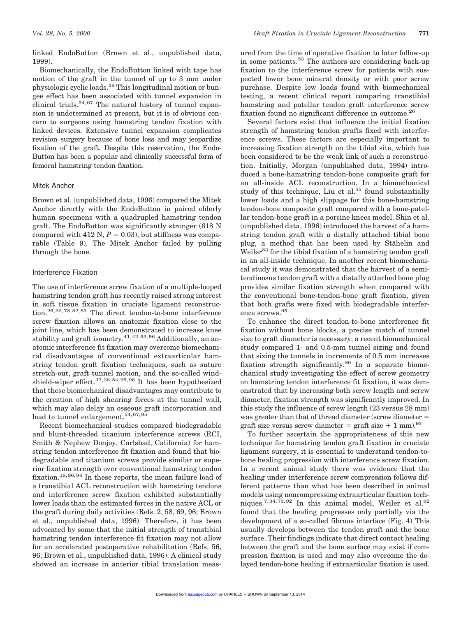linked EndoButton (Brown et al., unpublished data, 1999).

Biomechanically, the EndoButton linked with tape has motion of the graft in the tunnel of up to 3 mm under physiologic cyclic loads.<sup>38</sup> This longitudinal motion or bungee effect has been associated with tunnel expansion in clinical trials. $54,67$  The natural history of tunnel expansion is undetermined at present, but it is of obvious concern to surgeons using hamstring tendon fixation with linked devices. Extensive tunnel expansion complicates revision surgery because of bone loss and may jeopardize fixation of the graft. Despite this reservation, the Endo-Button has been a popular and clinically successful form of femoral hamstring tendon fixation.

#### Mitek Anchor

Brown et al. (unpublished data, 1996) compared the Mitek Anchor directly with the EndoButton in paired elderly human specimens with a quadrupled hamstring tendon graft. The EndoButton was significantly stronger (618 N compared with 412 N,  $P = 0.03$ ), but stiffness was comparable (Table 9). The Mitek Anchor failed by pulling through the bone.

#### Interference Fixation

The use of interference screw fixation of a multiple-looped hamstring tendon graft has recently raised strong interest in soft tissue fixation in cruciate ligament reconstruction.26,32,78,82,83 The direct tendon-to-bone interference screw fixation allows an anatomic fixation close to the joint line, which has been demonstrated to increase knee stability and graft isometry.<sup>41,42,63,96</sup> Additionally, an anatomic interference fit fixation may overcome biomechanical disadvantages of conventional extraarticular hamstring tendon graft fixation techniques, such as suture stretch-out, graft tunnel motion, and the so-called windshield-wiper effect.37,38,54,95,96 It has been hypothesized that these biomechanical disadvantages may contribute to the creation of high shearing forces at the tunnel wall, which may also delay an osseous graft incorporation and lead to tunnel enlargement.<sup>54,67,95</sup>

Recent biomechanical studies compared biodegradable and blunt-threaded titanium interference screws (RCI, Smith & Nephew Donjoy, Carlsbad, California) for hamstring tendon interference fit fixation and found that biodegradable and titanium screws provide similar or superior fixation strength over conventional hamstring tendon fixation.18,86,94 In these reports, the mean failure load of a transtibial ACL reconstruction with hamstring tendons and interference screw fixation exhibited substantially lower loads than the estimated forces in the native ACL or the graft during daily activities (Refs. 2, 58, 69, 96; Brown et al., unpublished data, 1996). Therefore, it has been advocated by some that the initial strength of transtibial hamstring tendon interference fit fixation may not allow for an accelerated postoperative rehabilitation (Refs. 56, 96; Brown et al., unpublished data, 1996). A clinical study showed an increase in anterior tibial translation meas-

ured from the time of operative fixation to later follow-up in some patients.<sup>53</sup> The authors are considering back-up fixation to the interference screw for patients with suspected lower bone mineral density or with poor screw purchase. Despite low loads found with biomechanical testing, a recent clinical report comparing transtibial hamstring and patellar tendon graft interference screw fixation found no significant difference in outcome.<sup>26</sup>

Several factors exist that influence the initial fixation strength of hamstring tendon grafts fixed with interference screws. These factors are especially important to increasing fixation strength on the tibial site, which has been considered to be the weak link of such a reconstruction. Initially, Morgan (unpublished data, 1994) introduced a bone-hamstring tendon-bone composite graft for an all-inside ACL reconstruction. In a biomechanical study of this technique, Liu et al.<sup>55</sup> found substantially lower loads and a high slippage for this bone-hamstring tendon-bone composite graft compared with a bone-patellar tendon-bone graft in a porcine knees model. Shin et al. (unpublished data, 1996) introduced the harvest of a hamstring tendon graft with a distally attached tibial bone plug, a method that has been used by Stähelin and Weiler<sup>83</sup> for the tibial fixation of a hamstring tendon graft in an all-inside technique. In another recent biomechanical study it was demonstrated that the harvest of a semitendinosus tendon graft with a distally attached bone plug provides similar fixation strength when compared with the conventional bone-tendon-bone graft fixation, given that both grafts were fixed with biodegradable interference screws.<sup>95</sup>

To enhance the direct tendon-to-bone interference fit fixation without bone blocks, a precise match of tunnel size to graft diameter is necessary; a recent biomechanical study compared 1- and 0.5-mm tunnel sizing and found that sizing the tunnels in increments of 0.5 mm increases fixation strength significantly.<sup>86</sup> In a separate biomechanical study investigating the effect of screw geometry on hamstring tendon interference fit fixation, it was demonstrated that by increasing both screw length and screw diameter, fixation strength was significantly improved. In this study the influence of screw length (23 versus 28 mm) was greater than that of thread diameter (screw diameter  $=$ graft size versus screw diameter = graft size  $+ 1$  mm).<sup>93</sup>

To further ascertain the appropriateness of this new technique for hamstring tendon graft fixation in cruciate ligament surgery, it is essential to understand tendon-tobone healing progression with interference screw fixation. In a recent animal study there was evidence that the healing under interference screw compression follows different patterns than what has been described in animal models using noncompressing extraarticular fixation techniques.<sup>7,34,73,92</sup> In this animal model, Weiler et al.<sup>92</sup> found that the healing progresses only partially via the development of a so-called fibrous interface (Fig. 4) This usually develops between the tendon graft and the bone surface. Their findings indicate that direct contact healing between the graft and the bone surface may exist if compression fixation is used and may also overcome the delayed tendon-bone healing if extraarticular fixation is used.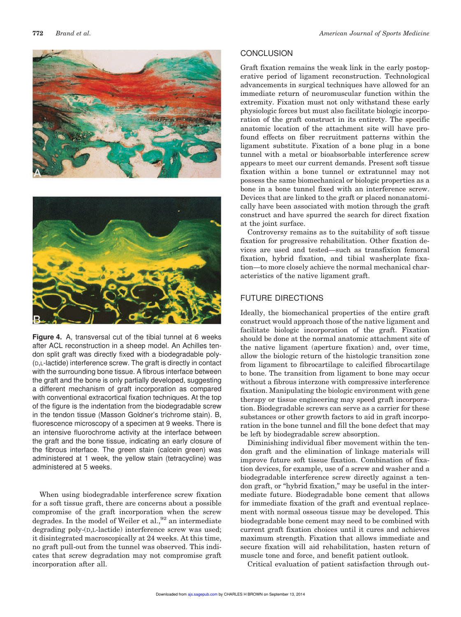



**Figure 4.** A, transversal cut of the tibial tunnel at 6 weeks after ACL reconstruction in a sheep model. An Achilles tendon split graft was directly fixed with a biodegradable poly- (D,L-lactide) interference screw. The graft is directly in contact with the surrounding bone tissue. A fibrous interface between the graft and the bone is only partially developed, suggesting a different mechanism of graft incorporation as compared with conventional extracortical fixation techniques. At the top of the figure is the indentation from the biodegradable screw in the tendon tissue (Masson Goldner's trichrome stain). B, fluorescence microscopy of a specimen at 9 weeks. There is an intensive fluorochrome activity at the interface between the graft and the bone tissue, indicating an early closure of the fibrous interface. The green stain (calcein green) was administered at 1 week, the yellow stain (tetracycline) was administered at 5 weeks.

When using biodegradable interference screw fixation for a soft tissue graft, there are concerns about a possible compromise of the graft incorporation when the screw degrades. In the model of Weiler et al.,<sup>92</sup> an intermediate degrading poly-(D,L-lactide) interference screw was used; it disintegrated macroscopically at 24 weeks. At this time, no graft pull-out from the tunnel was observed. This indicates that screw degradation may not compromise graft incorporation after all.

# **CONCLUSION**

Graft fixation remains the weak link in the early postoperative period of ligament reconstruction. Technological advancements in surgical techniques have allowed for an immediate return of neuromuscular function within the extremity. Fixation must not only withstand these early physiologic forces but must also facilitate biologic incorporation of the graft construct in its entirety. The specific anatomic location of the attachment site will have profound effects on fiber recruitment patterns within the ligament substitute. Fixation of a bone plug in a bone tunnel with a metal or bioabsorbable interference screw appears to meet our current demands. Present soft tissue fixation within a bone tunnel or extratunnel may not possess the same biomechanical or biologic properties as a bone in a bone tunnel fixed with an interference screw. Devices that are linked to the graft or placed nonanatomically have been associated with motion through the graft construct and have spurred the search for direct fixation at the joint surface.

Controversy remains as to the suitability of soft tissue fixation for progressive rehabilitation. Other fixation devices are used and tested—such as transfixion femoral fixation, hybrid fixation, and tibial washerplate fixation—to more closely achieve the normal mechanical characteristics of the native ligament graft.

# FUTURE DIRECTIONS

Ideally, the biomechanical properties of the entire graft construct would approach those of the native ligament and facilitate biologic incorporation of the graft. Fixation should be done at the normal anatomic attachment site of the native ligament (aperture fixation) and, over time, allow the biologic return of the histologic transition zone from ligament to fibrocartilage to calcified fibrocartilage to bone. The transition from ligament to bone may occur without a fibrous interzone with compressive interference fixation. Manipulating the biologic environment with gene therapy or tissue engineering may speed graft incorporation. Biodegradable screws can serve as a carrier for these substances or other growth factors to aid in graft incorporation in the bone tunnel and fill the bone defect that may be left by biodegradable screw absorption.

Diminishing individual fiber movement within the tendon graft and the elimination of linkage materials will improve future soft tissue fixation. Combination of fixation devices, for example, use of a screw and washer and a biodegradable interference screw directly against a tendon graft, or "hybrid fixation," may be useful in the intermediate future. Biodegradable bone cement that allows for immediate fixation of the graft and eventual replacement with normal osseous tissue may be developed. This biodegradable bone cement may need to be combined with current graft fixation choices until it cures and achieves maximum strength. Fixation that allows immediate and secure fixation will aid rehabilitation, hasten return of muscle tone and force, and benefit patient outlook.

Critical evaluation of patient satisfaction through out-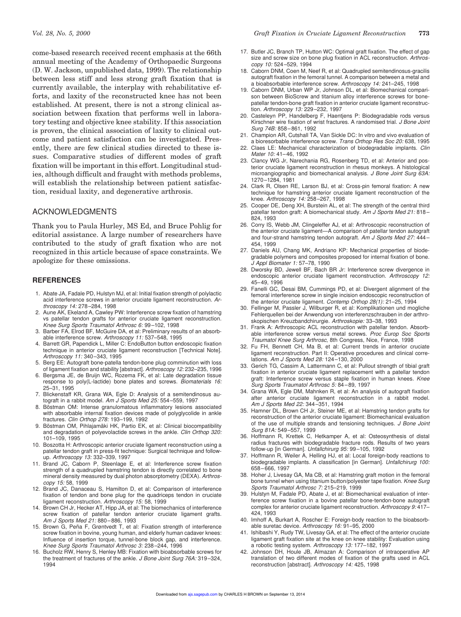come-based research received recent emphasis at the 66th annual meeting of the Academy of Orthopaedic Surgeons (D. W. Jackson, unpublished data, 1999). The relationship between less stiff and less strong graft fixation that is currently available, the interplay with rehabilitative efforts, and laxity of the reconstructed knee has not been established. At present, there is not a strong clinical association between fixation that performs well in laboratory testing and objective knee stability. If this association is proven, the clinical association of laxity to clinical outcome and patient satisfaction can be investigated. Presently, there are few clinical studies directed to these issues. Comparative studies of different modes of graft fixation will be important in this effort. Longitudinal studies, although difficult and fraught with methods problems, will establish the relationship between patient satisfaction, residual laxity, and degenerative arthrosis.

#### ACKNOWLEDGMENTS

Thank you to Paula Hurley, MS Ed, and Bruce Pohlig for editorial assistance. A large number of researchers have contributed to the study of graft fixation who are not recognized in this article because of space constraints. We apologize for these omissions.

#### **REFERENCES**

- 1. Abate JA, Fadale PD, Hulstyn MJ, et al: Initial fixation strength of polylactic acid interference screws in anterior cruciate ligament reconstruction. Arthroscopy 14: 278–284, 1998
- 2. Aune AK, Ekeland A, Cawley PW: Interference screw fixation of hamstring vs patellar tendon grafts for anterior cruciate ligament reconstruction. Knee Surg Sports Traumatol Arthrosc 6: 99–102, 1998
- 3. Barber FA, Elrod BF, McGuire DA, et al: Preliminary results of an absorbable interference screw. Arthroscopy 11: 537–548, 1995
- 4. Barrett GR, Papendick L, Miller C: EndoButton button endoscopic fixation technique in anterior cruciate ligament reconstruction [Technical Note]. Arthroscopy 11: 340–343, 1995
- 5. Berg EE: Autograft bone-patella tendon-bone plug comminution with loss of ligament fixation and stability [abstract]. Arthroscopy 12: 232–235, 1996
- 6. Bergsma JE, de Bruijn WC, Rozema FK, et al: Late degradation tissue response to poly(L-lactide) bone plates and screws. Biomaterials 16: 25–31, 1995
- 7. Blickenstaff KR, Grana WA, Egle D: Analysis of a semitendinosus autograft in a rabbit model. Am J Sports Med 25: 554-559, 1997
- Böstman OM: Intense granulomatous inflammatory lesions associated with absorbable internal fixation devices made of polyglycolide in ankle fractures. Clin Orthop 278: 193–199, 1992
- 9. Böstman OM, Pihlajamäki HK, Partio EK, et al: Clinical biocompatibility and degradation of polyevolactide screws in the ankle. Clin Orthop 320: 101–109, 1995
- 10. Boszotta H: Arthroscopic anterior cruciate ligament reconstruction using a patellar tendon graft in press-fit technique: Surgical technique and followup. Arthroscopy 13: 332–339, 1997
- 11. Brand JC, Caborn P, Steenlage E, et al: Interference screw fixation strength of a quadrupled hamstring tendon is directly correlated to bone mineral density measured by dual photon absorptometry (DEXA). Arthroscopy 15: 58, 1999
- 12. Brand JC, Danaceau S, Hamilton D, et al: Comparison of interference fixation of tendon and bone plug for the quadriceps tendon in cruciate ligament reconstruction. Arthroscopy 15: 58, 1999
- 14. Brown CH Jr, Hecker AT, Hipp JA, et al: The biomechanics of interference screw fixation of patellar tendon anterior cruciate ligament grafts. Am J Sports Med 21: 880–886, 1993
- 15. Brown G, Peña F, Grøntvedt T, et al: Fixation strength of interference screw fixation in bovine, young human, and elderly human cadaver knees: Influence of insertion torque, tunnel-bone block gap, and interference. Knee Surg Sports Traumatol Arthrosc 3: 238–244, 1996
- 16. Bucholz RW, Henry S, Henley MB: Fixation with bioabsorbable screws for the treatment of fractures of the ankle. J Bone Joint Surg 76A: 319-324, 1994
- 17. Butler JC, Branch TP, Hutton WC: Optimal graft fixation. The effect of gap size and screw size on bone plug fixation in ACL reconstruction. Arthroscopy 10: 524–529, 1994
- 18. Caborn DNM, Coen M, Neef R, et al: Quadrupled semitendinosus-gracilis autograft fixation in the femoral tunnel. A comparison between a metal and a bioabsorbable interference screw. Arthroscopy 14: 241–245, 1998
- 19. Caborn DNM, Urban WP Jr, Johnson DL, et al: Biomechanical comparison between BioScrew and titanium alloy interference screws for bonepatellar tendon-bone graft fixation in anterior cruciate ligament reconstruction. Arthroscopy 13: 229–232, 1997
- 20. Casteleyn PP, Handelberg F, Haentjens P: Biodegradable rods versus Kirschner wire fixation of wrist fractures. A randomised trial. J Bone Joint Surg 74B: 858–861, 1992
- 21. Champion AR, Cutshall TA, Van Sickle DC: In vitro and vivo evaluation of a bioresorbable interference screw. Trans Orthop Res Soc 20: 638, 1995
- 22. Claes LE: Mechanical characterization of biodegradable implants. Clin Mater 10: 41–46, 1992
- 23. Clancy WG Jr, Narechania RG, Rosenberg TD, et al: Anterior and posterior cruciate ligament reconstruction in rhesus monkeys. A histological microangiographic and biomechanical analysis. J Bone Joint Surg 63A: 1270–1284, 1981
- 24. Clark R, Olsen RE, Larson BJ, et al: Cross-pin femoral fixation: A new technique for hamstring anterior cruciate ligament reconstruction of the knee. Arthroscopy 14: 258–267, 1998
- 25. Cooper DE, Deng XH, Burstein AL, et al: The strength of the central third patellar tendon graft: A biomechanical study. Am J Sports Med 21: 818-824, 1993
- 26. Corry IS, Webb JM, Clingeleffer AJ, et al: Arthroscopic reconstruction of the anterior cruciate ligament—A comparison of patellar tendon autograft and four-strand hamstring tendon autograft. Am J Sports Med 27: 444-454, 1999
- 27. Daniels AU, Chang MK, Andriano KP: Mechanical properties of biodegradable polymers and composites proposed for internal fixation of bone. J Appl Biomater 1: 57–78, 1990
- 28. Dworsky BD, Jewell BF, Bach BR Jr: Interference screw divergence in endoscopic anterior cruciate ligament reconstruction. Arthroscopy 12: 45–49, 1996
- 29. Fanelli GC, Desai BM, Cummings PD, et al: Divergent alignment of the femoral interference screw in single incision endoscopic reconstruction of the anterior cruciate ligament. Contemp Orthop 28(1): 21–25, 1994
- 30. Fellinger M, Passler J, Wilburger R, et al: Komplikationen und mogliche Fehlerquellen bei der Anwendung von interferenzschrauben in der arthroskopischen Kreuzbandchirurgie. Arthroskopie: 33–38, 1993
- 31. Frank A: Arthroscopic ACL reconstruction with patellar tendon. Absorbable interference screw versus metal screws. Proc Europ Soc Sports Traumatol Knee Surg Arthrosc, 8th Congress, Nice, France, 1998
- 32. Fu FH, Bennett CH, Ma B, et al: Current trends in anterior cruciate ligament reconstruction. Part II: Operative procedures and clinical correlations. Am J Sports Med 28: 124–130, 2000
- 33. Gerich TG, Cassim A, Lattermann C, et al: Pullout strength of tibial graft fixation in anterior cruciate ligament replacement with a patellar tendon graft: Interference screw versus staple fixation in human knees. Knee Surg Sports Traumatol Arthrosc 5: 84–89, 1997
- 34. Grana WA, Egle DM, Mahnken R, et al: An analysis of autograft fixation after anterior cruciate ligament reconstruction in a rabbit model. Am J Sports Med 22: 344–351, 1994
- 35. Hamner DL, Brown CH Jr, Steiner ME, et al: Hamstring tendon grafts for reconstruction of the anterior cruciate ligament: Biomechanical evaluation of the use of multiple strands and tensioning techniques. J Bone Joint Surg 81A: 549–557, 1999
- 36. Hoffmann R, Krettek C, Hetkamper A, et al: Osteosynthesis of distal radius fractures with biodegradable fracture rods. Results of two years follow-up [in German]. Unfallchirurg 95: 99–105, 1992
- 37. Hoffmann R, Weiler A, Helling HJ, et al: Local foreign-body reactions to biodegradable implants. A classification [in German]. Unfallchirurg 100: 658–666, 1997
- 38. Hoher J, Livesay GA, Ma CB, et al: Hamstring graft motion in the femoral bone tunnel when using titanium button/polyester tape fixation. Knee Surg Sports Traumatol Arthrosc 7: 215–219, 1999
- 39. Hulstyn M, Fadale PD, Abate J, et al: Biomechanical evaluation of interference screw fixation in a bovine patellar bone-tendon-bone autograft complex for anterior cruciate ligament reconstruction. Arthroscopy 9: 417– 424, 1993
- 40. Imhoff A, Burkart A, Roscher E: Foreign-body reaction to the bioabsorbable suretac device. Arthroscopy 16: 91–95, 2000
- 41. Ishibashi Y, Rudy TW, Livesay GA, et al: The effect of the anterior cruciate ligament graft fixation site at the knee on knee stability: Evaluation using a robotic testing system. Arthroscopy 13: 177–182, 1997
- 42. Johnson DH, Houle JB, Almazan A: Comparison of intraoperative AP translation of two different modes of fixation of the grafts used in ACL reconstruction [abstract]. Arthroscopy 14: 425, 1998